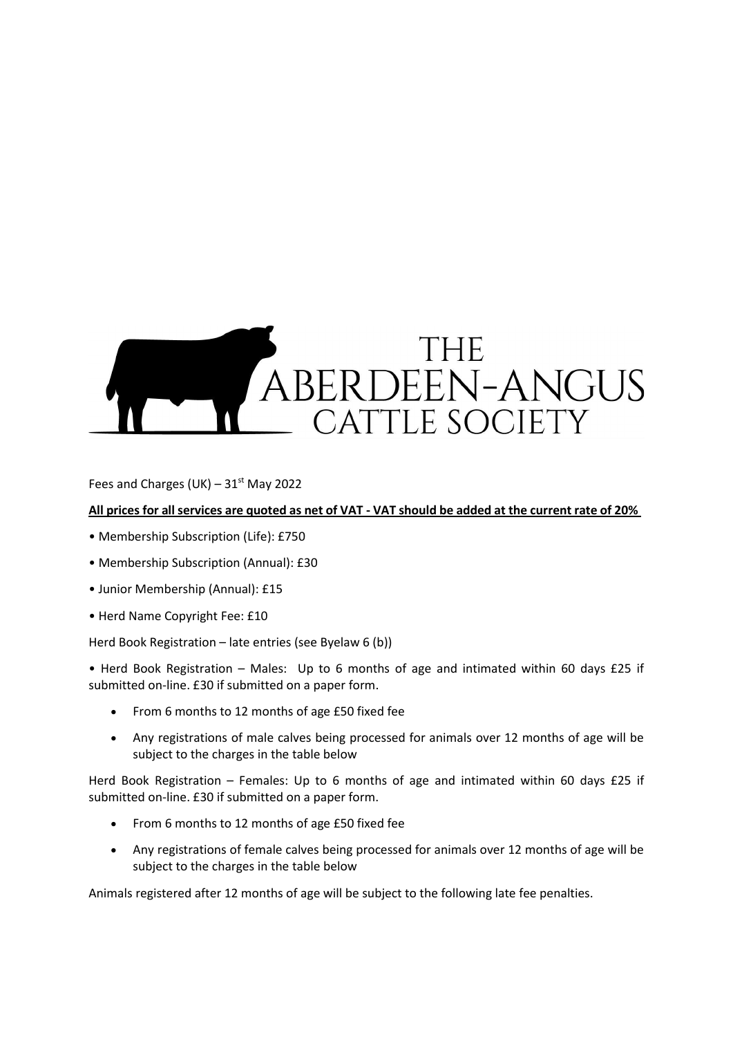# THE ABERDEEN-ANGUS CATTLE SOCIETY

Fees and Charges (UK) –  $31<sup>st</sup>$  May 2022

## **All prices for all services are quoted as net of VAT - VAT should be added at the current rate of 20%**

- Membership Subscription (Life): £750
- Membership Subscription (Annual): £30
- Junior Membership (Annual): £15
- Herd Name Copyright Fee: £10

Herd Book Registration – late entries (see Byelaw 6 (b))

• Herd Book Registration – Males: Up to 6 months of age and intimated within 60 days £25 if submitted on-line. £30 if submitted on a paper form.

- From 6 months to 12 months of age £50 fixed fee
- Any registrations of male calves being processed for animals over 12 months of age will be subject to the charges in the table below

Herd Book Registration – Females: Up to 6 months of age and intimated within 60 days £25 if submitted on-line. £30 if submitted on a paper form.

- From 6 months to 12 months of age £50 fixed fee
- Any registrations of female calves being processed for animals over 12 months of age will be subject to the charges in the table below

Animals registered after 12 months of age will be subject to the following late fee penalties.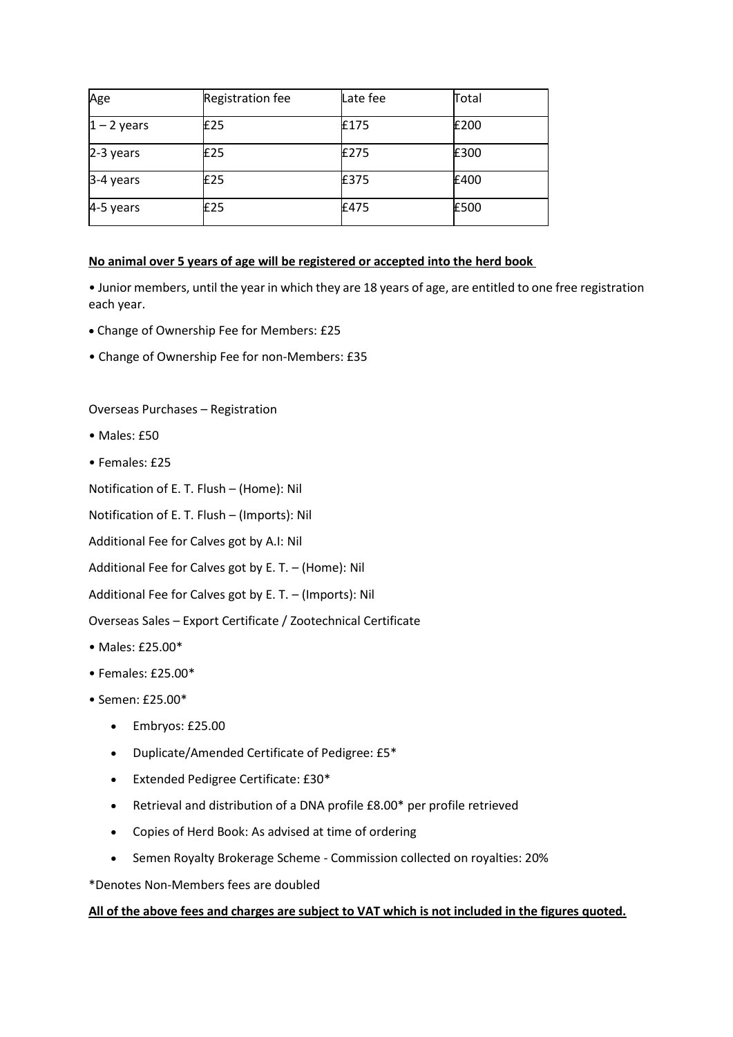| Age            | <b>Registration fee</b> | Late fee | Total |
|----------------|-------------------------|----------|-------|
| $ 1 - 2$ years | £25                     | £175     | £200  |
| $2-3$ years    | £25                     | £275     | £300  |
| 3-4 years      | £25                     | £375     | £400  |
| 4-5 years      | £25                     | £475     | £500  |

## **No animal over 5 years of age will be registered or accepted into the herd book**

• Junior members, until the year in which they are 18 years of age, are entitled to one free registration each year.

- Change of Ownership Fee for Members: £25
- Change of Ownership Fee for non-Members: £35

Overseas Purchases – Registration

- Males: £50
- Females: £25

Notification of E. T. Flush – (Home): Nil

Notification of E. T. Flush – (Imports): Nil

Additional Fee for Calves got by A.I: Nil

Additional Fee for Calves got by E. T. – (Home): Nil

Additional Fee for Calves got by E. T. – (Imports): Nil

Overseas Sales – Export Certificate / Zootechnical Certificate

- Males: £25.00\*
- Females: £25.00\*
- Semen: £25.00\*
	- Embryos: £25.00
	- Duplicate/Amended Certificate of Pedigree: £5\*
	- Extended Pedigree Certificate: £30\*
	- Retrieval and distribution of a DNA profile £8.00\* per profile retrieved
	- Copies of Herd Book: As advised at time of ordering
	- Semen Royalty Brokerage Scheme Commission collected on royalties: 20%

\*Denotes Non-Members fees are doubled

### **All of the above fees and charges are subject to VAT which is not included in the figures quoted.**